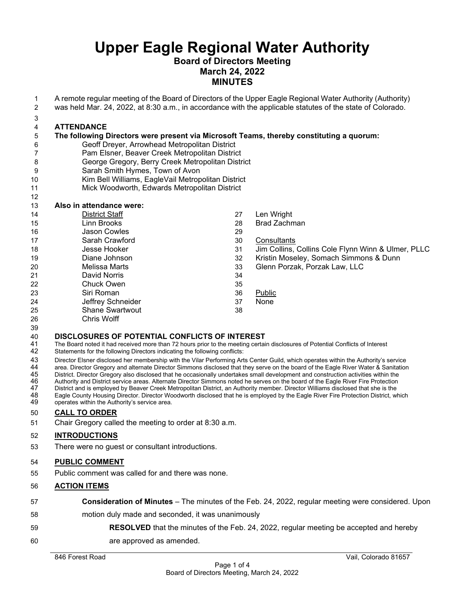#### **Board of Directors Meeting March 24, 2022 MINUTES**

- A remote regular meeting of the Board of Directors of the Upper Eagle Regional Water Authority (Authority)
- was held Mar. 24, 2022, at 8:30 a.m., in accordance with the applicable statutes of the state of Colorado.
- 

## **ATTENDANCE**

#### **The following Directors were present via Microsoft Teams, thereby constituting a quorum:** Geoff Dreyer, Arrowhead Metropolitan District

- Pam Elsner, Beaver Creek Metropolitan District
- George Gregory, Berry Creek Metropolitan District
- Sarah Smith Hymes, Town of Avon
- Kim Bell Williams, EagleVail Metropolitan District
- Mick Woodworth, Edwards Metropolitan District

### **Also in attendance were:**

| 14 | <b>District Staff</b>  | 27 | Len Wright                                         |
|----|------------------------|----|----------------------------------------------------|
| 15 | Linn Brooks            | 28 | <b>Brad Zachman</b>                                |
| 16 | Jason Cowles           | 29 |                                                    |
| 17 | Sarah Crawford         | 30 | Consultants                                        |
| 18 | Jesse Hooker           | 31 | Jim Collins, Collins Cole Flynn Winn & Ulmer, PLLC |
| 19 | Diane Johnson          | 32 | Kristin Moseley, Somach Simmons & Dunn             |
| 20 | Melissa Marts          | 33 | Glenn Porzak, Porzak Law, LLC                      |
| 21 | David Norris           | 34 |                                                    |
| 22 | Chuck Owen             | 35 |                                                    |
| 23 | Siri Roman             | 36 | Public                                             |
| 24 | Jeffrey Schneider      | 37 | None                                               |
| 25 | <b>Shane Swartwout</b> | 38 |                                                    |
| 26 | Chris Wolff            |    |                                                    |

## **DISCLOSURES OF POTENTIAL CONFLICTS OF INTEREST**

- The Board noted it had received more than 72 hours prior to the meeting certain disclosures of Potential Conflicts of Interest
- Statements for the following Directors indicating the following conflicts:

43 Director Elsner disclosed her membership with the Vilar Performing Arts Center Guild, which operates within the Authority's service<br>44 area. Director Gregory and alternate Director Simmons disclosed that they serve on t

- 44 area. Director Gregory and alternate Director Simmons disclosed that they serve on the board of the Eagle River Water & Sanitation<br>45 District. Director Gregory also disclosed that he occasionally undertakes sma
- 45 District. Director Gregory also disclosed that he occasionally undertakes small development and construction activities within the<br>46 Authority and District service areas. Alternate Director Simmons noted he serves on t Authority and District service areas. Alternate Director Simmons noted he serves on the board of the Eagle River Fire Protection

47 District and is employed by Beaver Creek Metropolitan District, an Authority member. Director Williams disclosed that she is the<br>48 Eagle County Housing Director. Director Woodworth disclosed that he is employed 48 Eagle County Housing Director. Director Woodworth disclosed that he is employed by the Eagle River Fire Protection District, which<br>49 operates within the Authority's service area. operates within the Authority's service area.

#### **CALL TO ORDER**

Chair Gregory called the meeting to order at 8:30 a.m.

#### **INTRODUCTIONS**

There were no guest or consultant introductions.

#### **PUBLIC COMMENT**

Public comment was called for and there was none.

#### **ACTION ITEMS**

- **Consideration of Minutes**  The minutes of the Feb. 24, 2022, regular meeting were considered. Upon motion duly made and seconded, it was unanimously **RESOLVED** that the minutes of the Feb. 24, 2022, regular meeting be accepted and hereby
- are approved as amended.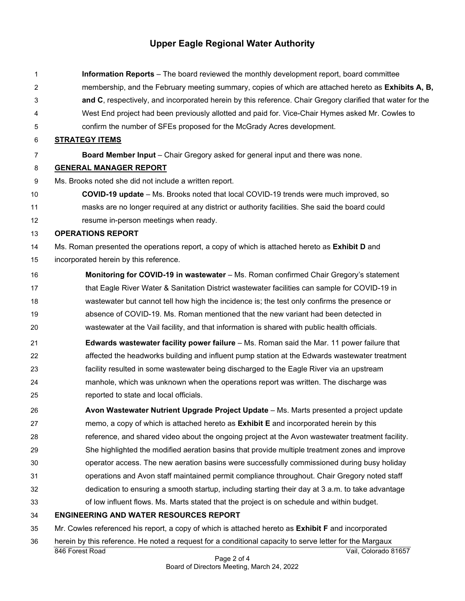**Information Reports** – The board reviewed the monthly development report, board committee membership, and the February meeting summary, copies of which are attached hereto as **Exhibits A, B, and C**, respectively, and incorporated herein by this reference. Chair Gregory clarified that water for the West End project had been previously allotted and paid for. Vice-Chair Hymes asked Mr. Cowles to confirm the number of SFEs proposed for the McGrady Acres development. **STRATEGY ITEMS Board Member Input** – Chair Gregory asked for general input and there was none. **GENERAL MANAGER REPORT** Ms. Brooks noted she did not include a written report. **COVID-19 update** – Ms. Brooks noted that local COVID-19 trends were much improved, so masks are no longer required at any district or authority facilities. She said the board could resume in-person meetings when ready. **OPERATIONS REPORT** Ms. Roman presented the operations report, a copy of which is attached hereto as **Exhibit D** and incorporated herein by this reference. **Monitoring for COVID-19 in wastewater** – Ms. Roman confirmed Chair Gregory's statement 17 that Eagle River Water & Sanitation District wastewater facilities can sample for COVID-19 in wastewater but cannot tell how high the incidence is; the test only confirms the presence or absence of COVID-19. Ms. Roman mentioned that the new variant had been detected in wastewater at the Vail facility, and that information is shared with public health officials. **Edwards wastewater facility power failure** – Ms. Roman said the Mar. 11 power failure that affected the headworks building and influent pump station at the Edwards wastewater treatment facility resulted in some wastewater being discharged to the Eagle River via an upstream manhole, which was unknown when the operations report was written. The discharge was reported to state and local officials. **Avon Wastewater Nutrient Upgrade Project Update** – Ms. Marts presented a project update memo, a copy of which is attached hereto as **Exhibit E** and incorporated herein by this reference, and shared video about the ongoing project at the Avon wastewater treatment facility. She highlighted the modified aeration basins that provide multiple treatment zones and improve operator access. The new aeration basins were successfully commissioned during busy holiday operations and Avon staff maintained permit compliance throughout. Chair Gregory noted staff dedication to ensuring a smooth startup, including starting their day at 3 a.m. to take advantage of low influent flows. Ms. Marts stated that the project is on schedule and within budget. **ENGINEERING AND WATER RESOURCES REPORT** Mr. Cowles referenced his report, a copy of which is attached hereto as **Exhibit F** and incorporated

herein by this reference. He noted a request for a conditional capacity to serve letter for the Margaux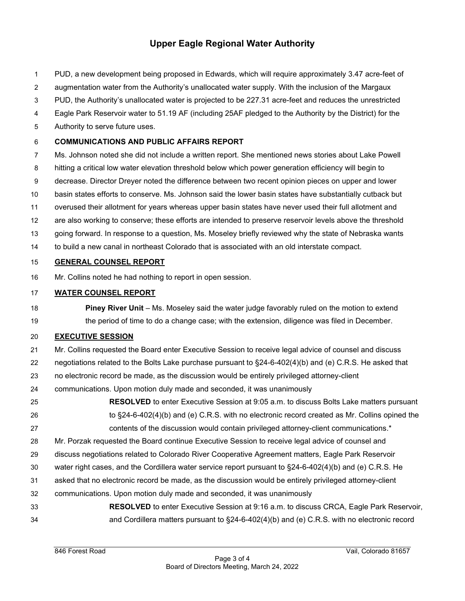- PUD, a new development being proposed in Edwards, which will require approximately 3.47 acre-feet of
- augmentation water from the Authority's unallocated water supply. With the inclusion of the Margaux
- PUD, the Authority's unallocated water is projected to be 227.31 acre-feet and reduces the unrestricted
- Eagle Park Reservoir water to 51.19 AF (including 25AF pledged to the Authority by the District) for the
- Authority to serve future uses.

#### **COMMUNICATIONS AND PUBLIC AFFAIRS REPORT**

- Ms. Johnson noted she did not include a written report. She mentioned news stories about Lake Powell
- hitting a critical low water elevation threshold below which power generation efficiency will begin to
- decrease. Director Dreyer noted the difference between two recent opinion pieces on upper and lower
- basin states efforts to conserve. Ms. Johnson said the lower basin states have substantially cutback but
- overused their allotment for years whereas upper basin states have never used their full allotment and
- are also working to conserve; these efforts are intended to preserve reservoir levels above the threshold
- going forward. In response to a question, Ms. Moseley briefly reviewed why the state of Nebraska wants
- to build a new canal in northeast Colorado that is associated with an old interstate compact.

#### **GENERAL COUNSEL REPORT**

Mr. Collins noted he had nothing to report in open session.

#### **WATER COUNSEL REPORT**

 **Piney River Unit** – Ms. Moseley said the water judge favorably ruled on the motion to extend 19 the period of time to do a change case; with the extension, diligence was filed in December.

#### **EXECUTIVE SESSION**

- Mr. Collins requested the Board enter Executive Session to receive legal advice of counsel and discuss
- negotiations related to the Bolts Lake purchase pursuant to §24-6-402(4)(b) and (e) C.R.S. He asked that
- no electronic record be made, as the discussion would be entirely privileged attorney-client
- communications. Upon motion duly made and seconded, it was unanimously
- **RESOLVED** to enter Executive Session at 9:05 a.m. to discuss Bolts Lake matters pursuant to §24-6-402(4)(b) and (e) C.R.S. with no electronic record created as Mr. Collins opined the contents of the discussion would contain privileged attorney-client communications.\*
- Mr. Porzak requested the Board continue Executive Session to receive legal advice of counsel and
- discuss negotiations related to Colorado River Cooperative Agreement matters, Eagle Park Reservoir
- water right cases, and the Cordillera water service report pursuant to §24-6-402(4)(b) and (e) C.R.S. He
- asked that no electronic record be made, as the discussion would be entirely privileged attorney-client
- communications. Upon motion duly made and seconded, it was unanimously
- **RESOLVED** to enter Executive Session at 9:16 a.m. to discuss CRCA, Eagle Park Reservoir, and Cordillera matters pursuant to §24-6-402(4)(b) and (e) C.R.S. with no electronic record